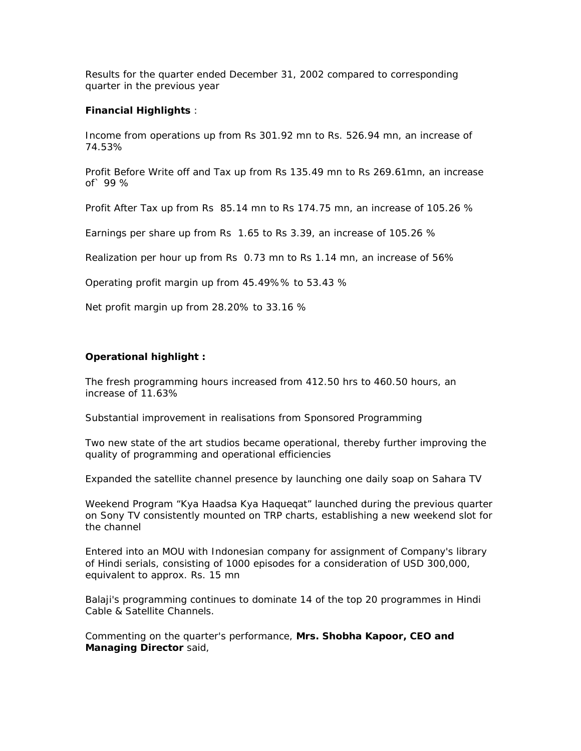Results for the quarter ended December 31, 2002 compared to corresponding quarter in the previous year

## **Financial Highlights** :

Income from operations up from Rs 301.92 mn to Rs. 526.94 mn, an increase of 74.53%

Profit Before Write off and Tax up from Rs 135.49 mn to Rs 269.61mn, an increase of` 99 %

Profit After Tax up from Rs 85.14 mn to Rs 174.75 mn, an increase of 105.26 %

Earnings per share up from Rs 1.65 to Rs 3.39, an increase of 105.26 %

Realization per hour up from Rs 0.73 mn to Rs 1.14 mn, an increase of 56%

Operating profit margin up from 45.49%% to 53.43 %

Net profit margin up from 28.20% to 33.16 %

## **Operational highlight :**

The fresh programming hours increased from 412.50 hrs to 460.50 hours, an increase of 11.63%

Substantial improvement in realisations from Sponsored Programming

Two new state of the art studios became operational, thereby further improving the quality of programming and operational efficiencies

Expanded the satellite channel presence by launching one daily soap on Sahara TV

Weekend Program "Kya Haadsa Kya Haqueqat" launched during the previous quarter on Sony TV consistently mounted on TRP charts, establishing a new weekend slot for the channel

Entered into an MOU with Indonesian company for assignment of Company's library of Hindi serials, consisting of 1000 episodes for a consideration of USD 300,000, equivalent to approx. Rs. 15 mn

Balaji's programming continues to dominate 14 of the top 20 programmes in Hindi Cable & Satellite Channels.

Commenting on the quarter's performance, **Mrs. Shobha Kapoor, CEO and Managing Director** said,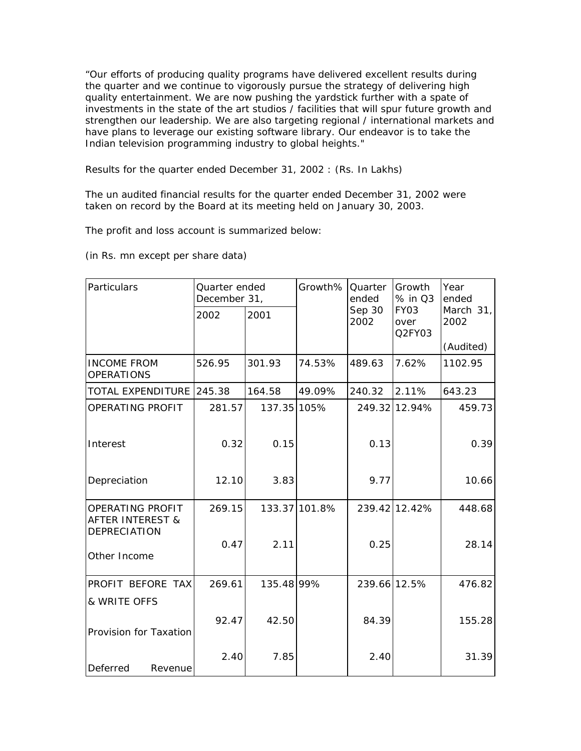"Our efforts of producing quality programs have delivered excellent results during the quarter and we continue to vigorously pursue the strategy of delivering high quality entertainment. We are now pushing the yardstick further with a spate of investments in the state of the art studios / facilities that will spur future growth and strengthen our leadership. We are also targeting regional / international markets and have plans to leverage our existing software library. Our endeavor is to take the Indian television programming industry to global heights."

Results for the quarter ended December 31, 2002 : (Rs. In Lakhs)

The un audited financial results for the quarter ended December 31, 2002 were taken on record by the Board at its meeting held on January 30, 2003.

The profit and loss account is summarized below:

(in Rs. mn except per share data)

| Particulars                                     | Quarter ended<br>December 31, |             | Growth%       | Quarter<br>ended | Growth<br>% in Q3      | Year<br>ended     |
|-------------------------------------------------|-------------------------------|-------------|---------------|------------------|------------------------|-------------------|
|                                                 | 2002                          | 2001        |               | Sep 30<br>2002   | FY03<br>over<br>Q2FY03 | March 31,<br>2002 |
|                                                 |                               |             |               |                  |                        | (Audited)         |
| <b>INCOME FROM</b><br><b>OPERATIONS</b>         | 526.95                        | 301.93      | 74.53%        | 489.63           | 7.62%                  | 1102.95           |
| TOTAL EXPENDITURE 245.38                        |                               | 164.58      | 49.09%        | 240.32           | 2.11%                  | 643.23            |
| OPERATING PROFIT                                | 281.57                        | 137.35 105% |               |                  | 249.32 12.94%          | 459.73            |
| Interest                                        | 0.32                          | 0.15        |               | 0.13             |                        | 0.39              |
| Depreciation                                    | 12.10                         | 3.83        |               | 9.77             |                        | 10.66             |
| OPERATING PROFIT<br><b>AFTER INTEREST &amp;</b> | 269.15                        |             | 133.37 101.8% |                  | 239.42 12.42%          | 448.68            |
| DEPRECIATION<br>Other Income                    | 0.47                          | 2.11        |               | 0.25             |                        | 28.14             |
| PROFIT BEFORE TAX                               | 269.61                        | 135.48 99%  |               | 239.66 12.5%     |                        | 476.82            |
| & WRITE OFFS                                    |                               |             |               |                  |                        |                   |
| Provision for Taxation                          | 92.47                         | 42.50       |               | 84.39            |                        | 155.28            |
| Deferred<br>Revenue                             | 2.40                          | 7.85        |               | 2.40             |                        | 31.39             |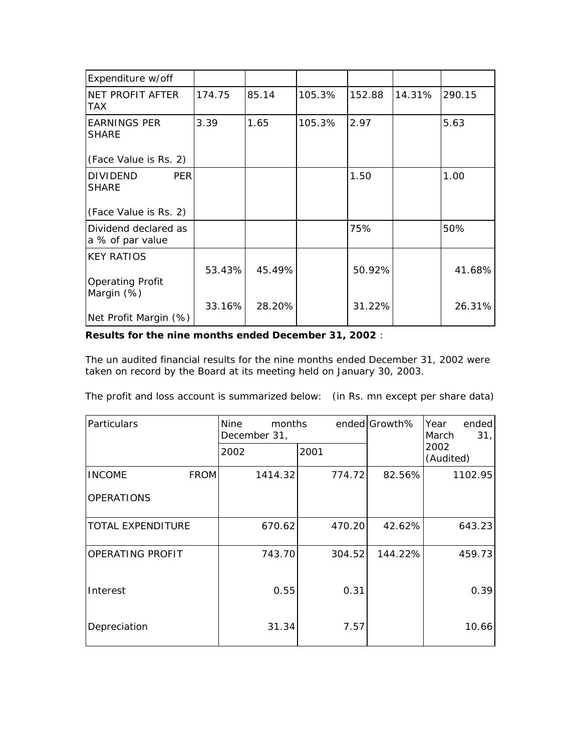| Expenditure w/off                             |        |        |        |        |        |        |
|-----------------------------------------------|--------|--------|--------|--------|--------|--------|
| NET PROFIT AFTER<br><b>TAX</b>                | 174.75 | 85.14  | 105.3% | 152.88 | 14.31% | 290.15 |
| <b>EARNINGS PER</b><br><b>SHARE</b>           | 3.39   | 1.65   | 105.3% | 2.97   |        | 5.63   |
| (Face Value is Rs. 2)                         |        |        |        |        |        |        |
| <b>DIVIDEND</b><br><b>PER</b><br><b>SHARE</b> |        |        |        | 1.50   |        | 1.00   |
| (Face Value is Rs. 2)                         |        |        |        |        |        |        |
| Dividend declared as<br>a % of par value      |        |        |        | 75%    |        | 50%    |
| <b>KEY RATIOS</b>                             |        |        |        |        |        |        |
| <b>Operating Profit</b>                       | 53.43% | 45.49% |        | 50.92% |        | 41.68% |
| Margin (%)<br>Net Profit Margin (%)           | 33.16% | 28.20% |        | 31.22% |        | 26.31% |

## **Results for the nine months ended December 31, 2002** :

The un audited financial results for the nine months ended December 31, 2002 were taken on record by the Board at its meeting held on January 30, 2003.

The profit and loss account is summarized below: (in Rs. mn except per share data)

| Particulars                  | Nine<br>months<br>December 31, |        | ended Growth% | Year<br>ended<br>31 <sub>1</sub><br>March |  |
|------------------------------|--------------------------------|--------|---------------|-------------------------------------------|--|
|                              | 2002                           | 2001   |               | 2002<br>(Audited)                         |  |
| <b>INCOME</b><br><b>FROM</b> | 1414.32                        | 774.72 | 82.56%        | 1102.95                                   |  |
| <b>OPERATIONS</b>            |                                |        |               |                                           |  |
| <b>TOTAL EXPENDITURE</b>     | 670.62                         | 470.20 | 42.62%        | 643.23                                    |  |
| OPERATING PROFIT             | 743.70                         | 304.52 | 144.22%       | 459.73                                    |  |
| Interest                     | 0.55                           | 0.31   |               | 0.39                                      |  |
| Depreciation                 | 31.34                          | 7.57   |               | 10.66                                     |  |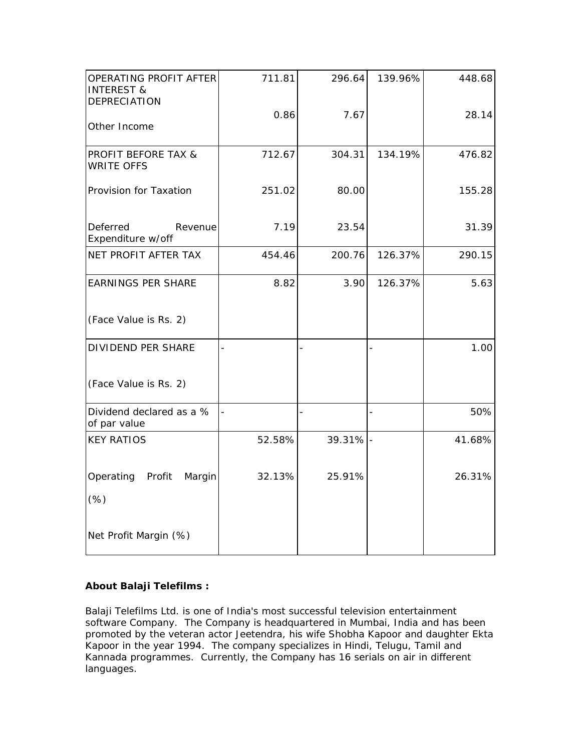| OPERATING PROFIT AFTER<br><b>INTEREST &amp;</b><br><b>DEPRECIATION</b> | 711.81 | 296.64   | 139.96% | 448.68 |
|------------------------------------------------------------------------|--------|----------|---------|--------|
| Other Income                                                           | 0.86   | 7.67     |         | 28.14  |
| PROFIT BEFORE TAX &<br><b>WRITE OFFS</b>                               | 712.67 | 304.31   | 134.19% | 476.82 |
| Provision for Taxation                                                 | 251.02 | 80.00    |         | 155.28 |
| Deferred<br>Revenue<br>Expenditure w/off                               | 7.19   | 23.54    |         | 31.39  |
| NET PROFIT AFTER TAX                                                   | 454.46 | 200.76   | 126.37% | 290.15 |
| <b>EARNINGS PER SHARE</b>                                              | 8.82   | 3.90     | 126.37% | 5.63   |
| (Face Value is Rs. 2)                                                  |        |          |         |        |
| <b>DIVIDEND PER SHARE</b>                                              |        |          |         | 1.00   |
| (Face Value is Rs. 2)                                                  |        |          |         |        |
| Dividend declared as a %<br>of par value                               |        |          |         | 50%    |
| <b>KEY RATIOS</b>                                                      | 52.58% | 39.31% - |         | 41.68% |
| Operating Profit<br>Margin                                             | 32.13% | 25.91%   |         | 26.31% |
| (%)                                                                    |        |          |         |        |
| Net Profit Margin (%)                                                  |        |          |         |        |

## **About Balaji Telefilms :**

Balaji Telefilms Ltd. is one of India's most successful television entertainment software Company. The Company is headquartered in Mumbai, India and has been promoted by the veteran actor Jeetendra, his wife Shobha Kapoor and daughter Ekta Kapoor in the year 1994. The company specializes in Hindi, Telugu, Tamil and Kannada programmes. Currently, the Company has 16 serials on air in different languages.